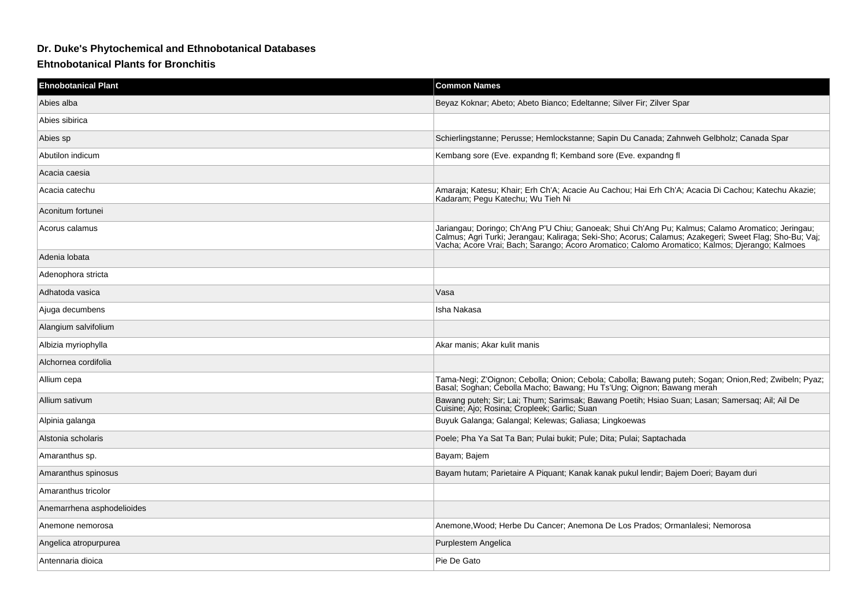## **Dr. Duke's Phytochemical and Ethnobotanical Databases**

## **Ehtnobotanical Plants for Bronchitis**

| <b>Ehnobotanical Plant</b> | <b>Common Names</b>                                                                                                                                                                                                                                                                                           |
|----------------------------|---------------------------------------------------------------------------------------------------------------------------------------------------------------------------------------------------------------------------------------------------------------------------------------------------------------|
| Abies alba                 | Beyaz Koknar; Abeto; Abeto Bianco; Edeltanne; Silver Fir; Zilver Spar                                                                                                                                                                                                                                         |
| Abies sibirica             |                                                                                                                                                                                                                                                                                                               |
| Abies sp                   | Schierlingstanne; Perusse; Hemlockstanne; Sapin Du Canada; Zahnweh Gelbholz; Canada Spar                                                                                                                                                                                                                      |
| Abutilon indicum           | Kembang sore (Eve. expandng fl; Kemband sore (Eve. expandng fl                                                                                                                                                                                                                                                |
| Acacia caesia              |                                                                                                                                                                                                                                                                                                               |
| Acacia catechu             | Amaraja; Katesu; Khair; Erh Ch'A; Acacie Au Cachou; Hai Erh Ch'A; Acacia Di Cachou; Katechu Akazie;<br>Kadaram, Pegu Katechu, Wu Tieh Ni                                                                                                                                                                      |
| Aconitum fortunei          |                                                                                                                                                                                                                                                                                                               |
| Acorus calamus             | Jariangau; Doringo; Ch'Ang P'U Chiu; Ganoeak; Shui Ch'Ang Pu; Kalmus; Calamo Aromatico; Jeringau;<br>Calmus; Agri Turki; Jerangau; Kaliraga; Seki-Sho; Acorus; Calamus; Azakegeri; Sweet Flag; Sho-Bu; Vaj;<br>Vacha; Acore Vrai; Bach; Sarango; Acoro Aromatico; Calomo Aromatico; Kalmos; Djerango; Kalmoes |
| Adenia lobata              |                                                                                                                                                                                                                                                                                                               |
| Adenophora stricta         |                                                                                                                                                                                                                                                                                                               |
| Adhatoda vasica            | Vasa                                                                                                                                                                                                                                                                                                          |
| Ajuga decumbens            | Isha Nakasa                                                                                                                                                                                                                                                                                                   |
| Alangium salvifolium       |                                                                                                                                                                                                                                                                                                               |
| Albizia myriophylla        | Akar manis; Akar kulit manis                                                                                                                                                                                                                                                                                  |
| Alchornea cordifolia       |                                                                                                                                                                                                                                                                                                               |
| Allium cepa                | Tama-Negi; Z'Oignon; Cebolla; Onion; Cebola; Cabolla; Bawang puteh; Sogan; Onion, Red; Zwibeln; Pyaz;<br>Basal; Soghan; Čebolla Macho; Bawang; Hu Ts'Ung; Oignon; Bawang merah                                                                                                                                |
| Allium sativum             | Bawang puteh; Sir; Lai; Thum; Sarimsak; Bawang Poetih; Hsiao Suan; Lasan; Samersaq; Ail; Ail De<br>Cuisine; Ajo; Rosina; Cropleek; Garlic; Suan                                                                                                                                                               |
| Alpinia galanga            | Buyuk Galanga; Galangal; Kelewas; Galiasa; Lingkoewas                                                                                                                                                                                                                                                         |
| Alstonia scholaris         | Poele; Pha Ya Sat Ta Ban; Pulai bukit; Pule; Dita; Pulai; Saptachada                                                                                                                                                                                                                                          |
| Amaranthus sp.             | Bayam; Bajem                                                                                                                                                                                                                                                                                                  |
| Amaranthus spinosus        | Bayam hutam; Parietaire A Piquant; Kanak kanak pukul lendir; Bajem Doeri; Bayam duri                                                                                                                                                                                                                          |
| Amaranthus tricolor        |                                                                                                                                                                                                                                                                                                               |
| Anemarrhena asphodelioides |                                                                                                                                                                                                                                                                                                               |
| Anemone nemorosa           | Anemone, Wood; Herbe Du Cancer; Anemona De Los Prados; Ormanlalesi; Nemorosa                                                                                                                                                                                                                                  |
| Angelica atropurpurea      | Purplestem Angelica                                                                                                                                                                                                                                                                                           |
| Antennaria dioica          | Pie De Gato                                                                                                                                                                                                                                                                                                   |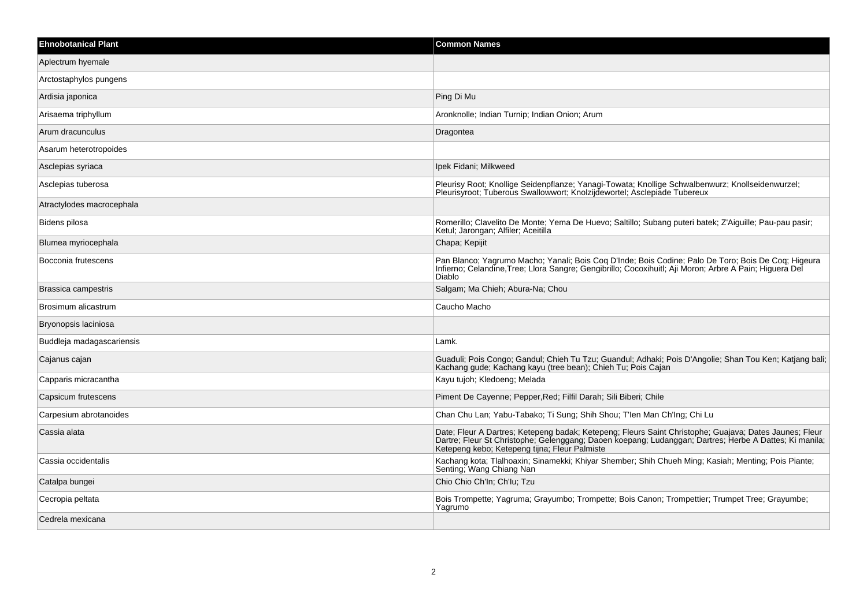| <b>Ehnobotanical Plant</b> | <b>Common Names</b>                                                                                                                                                                                                                                               |
|----------------------------|-------------------------------------------------------------------------------------------------------------------------------------------------------------------------------------------------------------------------------------------------------------------|
| Aplectrum hyemale          |                                                                                                                                                                                                                                                                   |
| Arctostaphylos pungens     |                                                                                                                                                                                                                                                                   |
| Ardisia japonica           | Ping Di Mu                                                                                                                                                                                                                                                        |
| Arisaema triphyllum        | Aronknolle; Indian Turnip; Indian Onion; Arum                                                                                                                                                                                                                     |
| Arum dracunculus           | Dragontea                                                                                                                                                                                                                                                         |
| Asarum heterotropoides     |                                                                                                                                                                                                                                                                   |
| Asclepias syriaca          | Ipek Fidani; Milkweed                                                                                                                                                                                                                                             |
| Asclepias tuberosa         | Pleurisy Root; Knollige Seidenpflanze; Yanagi-Towata; Knollige Schwalbenwurz; Knollseidenwurzel;<br>Pleurisyroot; Tuberous Swallowwort; Knolzijdewortel; Asclepiade Tubereux                                                                                      |
| Atractylodes macrocephala  |                                                                                                                                                                                                                                                                   |
| Bidens pilosa              | Romerillo; Clavelito De Monte; Yema De Huevo; Saltillo; Subang puteri batek; Z'Aiguille; Pau-pau pasir;<br>Ketul; Jarongan; Alfiler; Aceitilla                                                                                                                    |
| Blumea myriocephala        | Chapa; Kepijit                                                                                                                                                                                                                                                    |
| Bocconia frutescens        | Pan Blanco; Yagrumo Macho; Yanali; Bois Coq D'Inde; Bois Codine; Palo De Toro; Bois De Coq; Higeura<br>Infierno; Celandine, Tree; Llora Sangre; Gengibrillo; Cocoxihuitl; Aji Moron; Arbre A Pain; Higuera Del<br>Diablo                                          |
| Brassica campestris        | Salgam; Ma Chieh; Abura-Na; Chou                                                                                                                                                                                                                                  |
| Brosimum alicastrum        | Caucho Macho                                                                                                                                                                                                                                                      |
| Bryonopsis laciniosa       |                                                                                                                                                                                                                                                                   |
| Buddleja madagascariensis  | Lamk.                                                                                                                                                                                                                                                             |
| Cajanus cajan              | Guaduli; Pois Congo; Gandul; Chieh Tu Tzu; Guandul; Adhaki; Pois D'Angolie; Shan Tou Ken; Katjang bali;<br>Kachang gude; Kachang kayu (tree bean); Chieh Tu; Pois Cajan                                                                                           |
| Capparis micracantha       | Kayu tujoh; Kledoeng; Melada                                                                                                                                                                                                                                      |
| Capsicum frutescens        | Piment De Cayenne; Pepper, Red; Filfil Darah; Sili Biberi; Chile                                                                                                                                                                                                  |
| Carpesium abrotanoides     | Chan Chu Lan; Yabu-Tabako; Ti Sung; Shih Shou; T'len Man Ch'Ing; Chi Lu                                                                                                                                                                                           |
| Cassia alata               | Date; Fleur A Dartres; Ketepeng badak; Ketepeng; Fleurs Saint Christophe; Guajava; Dates Jaunes; Fleur<br>Dartre; Fleur St Christophe; Gelenggang; Daoen koepang; Ludanggan; Dartres; Herbe A Dattes; Ki manila;<br>Ketepeng kebo; Ketepeng tijna; Fleur Palmiste |
| Cassia occidentalis        | Kachang kota; Tlalhoaxin; Sinamekki; Khiyar Shember; Shih Chueh Ming; Kasiah; Menting; Pois Piante;<br>Senting; Wang Chiang Nan                                                                                                                                   |
| Catalpa bungei             | Chio Chio Ch'In; Ch'Iu; Tzu                                                                                                                                                                                                                                       |
| Cecropia peltata           | Bois Trompette; Yagruma; Grayumbo; Trompette; Bois Canon; Trompettier; Trumpet Tree; Grayumbe;<br>Yagrumo                                                                                                                                                         |
| Cedrela mexicana           |                                                                                                                                                                                                                                                                   |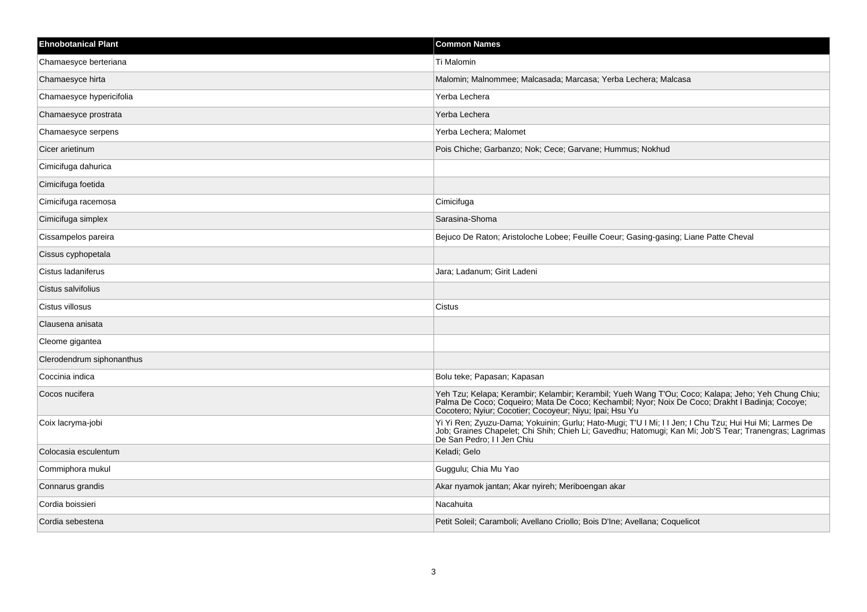| <b>Ehnobotanical Plant</b> | <b>Common Names</b>                                                                                                                                                                                                                                              |
|----------------------------|------------------------------------------------------------------------------------------------------------------------------------------------------------------------------------------------------------------------------------------------------------------|
| Chamaesyce berteriana      | Ti Malomin                                                                                                                                                                                                                                                       |
| Chamaesyce hirta           | Malomin; Malnommee; Malcasada; Marcasa; Yerba Lechera; Malcasa                                                                                                                                                                                                   |
| Chamaesyce hypericifolia   | Yerba Lechera                                                                                                                                                                                                                                                    |
| Chamaesyce prostrata       | Yerba Lechera                                                                                                                                                                                                                                                    |
| Chamaesyce serpens         | Yerba Lechera; Malomet                                                                                                                                                                                                                                           |
| Cicer arietinum            | Pois Chiche; Garbanzo; Nok; Cece; Garvane; Hummus; Nokhud                                                                                                                                                                                                        |
| Cimicifuga dahurica        |                                                                                                                                                                                                                                                                  |
| Cimicifuga foetida         |                                                                                                                                                                                                                                                                  |
| Cimicifuga racemosa        | Cimicifuga                                                                                                                                                                                                                                                       |
| Cimicifuga simplex         | Sarasina-Shoma                                                                                                                                                                                                                                                   |
| Cissampelos pareira        | Bejuco De Raton; Aristoloche Lobee; Feuille Coeur; Gasing-gasing; Liane Patte Cheval                                                                                                                                                                             |
| Cissus cyphopetala         |                                                                                                                                                                                                                                                                  |
| Cistus ladaniferus         | Jara; Ladanum; Girit Ladeni                                                                                                                                                                                                                                      |
| Cistus salvifolius         |                                                                                                                                                                                                                                                                  |
| Cistus villosus            | Cistus                                                                                                                                                                                                                                                           |
| Clausena anisata           |                                                                                                                                                                                                                                                                  |
| Cleome gigantea            |                                                                                                                                                                                                                                                                  |
| Clerodendrum siphonanthus  |                                                                                                                                                                                                                                                                  |
| Coccinia indica            | Bolu teke; Papasan; Kapasan                                                                                                                                                                                                                                      |
| Cocos nucifera             | Yeh Tzu; Kelapa; Kerambir; Kelambir; Kerambil; Yueh Wang T'Ou; Coco; Kalapa; Jeho; Yeh Chung Chiu;<br>Palma De Coco; Coqueiro; Mata De Coco; Kechambil; Nyor; Noix De Coco; Drakht I Badinja; Cocoye;<br>Cocotero; Nyiur; Cocotier; Cocoyeur; Niyu; Ipai; Hsu Yu |
| Coix lacryma-jobi          | Yi Yi Ren; Zyuzu-Dama; Yokuinin; Gurlu; Hato-Mugi; T'U I Mi; I I Jen; I Chu Tzu; Hui Hui Mi; Larmes De<br>Job; Graines Chapelet; Chi Shih; Chieh Li; Gavedhu; Hatomugi; Kan Mi; Job'S Tear; Tranengras; Lagrimas<br>De San Pedro; I I Jen Chiu                   |
| Colocasia esculentum       | Keladi; Gelo                                                                                                                                                                                                                                                     |
| Commiphora mukul           | Guggulu; Chia Mu Yao                                                                                                                                                                                                                                             |
| Connarus grandis           | Akar nyamok jantan; Akar nyireh; Meriboengan akar                                                                                                                                                                                                                |
| Cordia boissieri           | Nacahuita                                                                                                                                                                                                                                                        |
| Cordia sebestena           | Petit Soleil; Caramboli; Avellano Criollo; Bois D'Ine; Avellana; Coquelicot                                                                                                                                                                                      |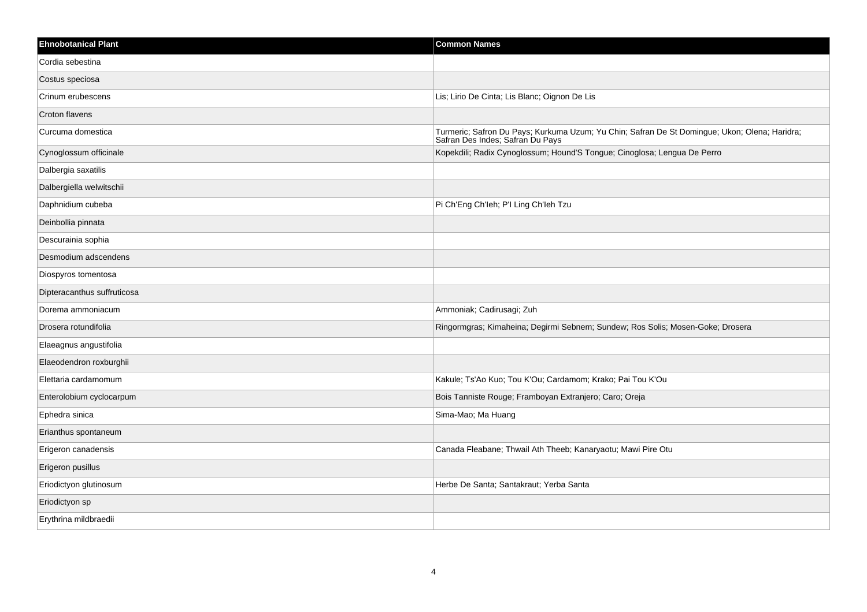| <b>Ehnobotanical Plant</b>  | <b>Common Names</b>                                                                                                               |
|-----------------------------|-----------------------------------------------------------------------------------------------------------------------------------|
| Cordia sebestina            |                                                                                                                                   |
| Costus speciosa             |                                                                                                                                   |
| Crinum erubescens           | Lis; Lirio De Cinta; Lis Blanc; Oignon De Lis                                                                                     |
| Croton flavens              |                                                                                                                                   |
| Curcuma domestica           | Turmeric; Safron Du Pays; Kurkuma Uzum; Yu Chin; Safran De St Domingue; Ukon; Olena; Haridra;<br>Safran Des Indes; Safran Du Pays |
| Cynoglossum officinale      | Kopekdili; Radix Cynoglossum; Hound'S Tongue; Cinoglosa; Lengua De Perro                                                          |
| Dalbergia saxatilis         |                                                                                                                                   |
| Dalbergiella welwitschii    |                                                                                                                                   |
| Daphnidium cubeba           | Pi Ch'Eng Ch'leh; P'l Ling Ch'leh Tzu                                                                                             |
| Deinbollia pinnata          |                                                                                                                                   |
| Descurainia sophia          |                                                                                                                                   |
| Desmodium adscendens        |                                                                                                                                   |
| Diospyros tomentosa         |                                                                                                                                   |
| Dipteracanthus suffruticosa |                                                                                                                                   |
| Dorema ammoniacum           | Ammoniak; Cadirusagi; Zuh                                                                                                         |
| Drosera rotundifolia        | Ringormgras; Kimaheina; Degirmi Sebnem; Sundew; Ros Solis; Mosen-Goke; Drosera                                                    |
| Elaeagnus angustifolia      |                                                                                                                                   |
| Elaeodendron roxburghii     |                                                                                                                                   |
| Elettaria cardamomum        | Kakule; Ts'Ao Kuo; Tou K'Ou; Cardamom; Krako; Pai Tou K'Ou                                                                        |
| Enterolobium cyclocarpum    | Bois Tanniste Rouge; Framboyan Extranjero; Caro; Oreja                                                                            |
| Ephedra sinica              | Sima-Mao; Ma Huang                                                                                                                |
| Erianthus spontaneum        |                                                                                                                                   |
| Erigeron canadensis         | Canada Fleabane; Thwail Ath Theeb; Kanaryaotu; Mawi Pire Otu                                                                      |
| Erigeron pusillus           |                                                                                                                                   |
| Eriodictyon glutinosum      | Herbe De Santa; Santakraut; Yerba Santa                                                                                           |
| Eriodictyon sp              |                                                                                                                                   |
| Erythrina mildbraedii       |                                                                                                                                   |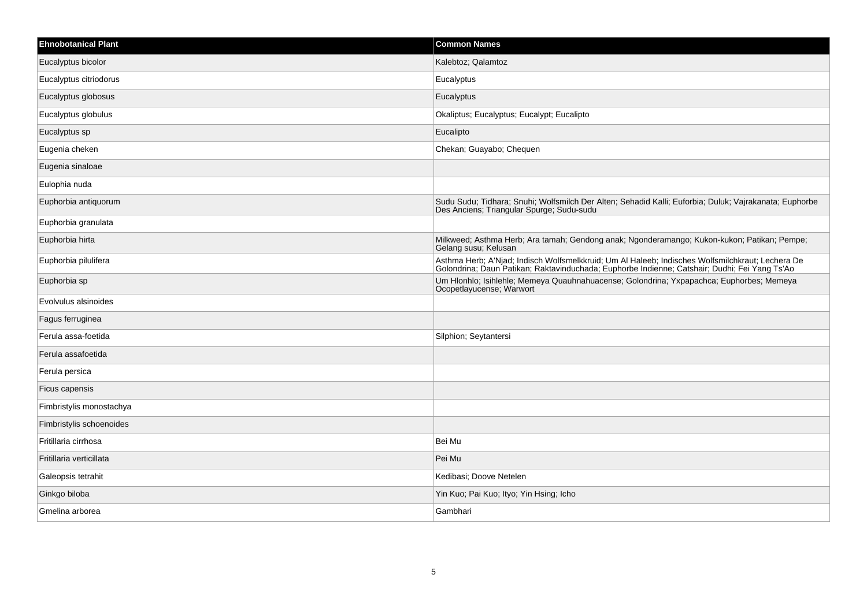| <b>Ehnobotanical Plant</b> | <b>Common Names</b>                                                                                                                                                                               |
|----------------------------|---------------------------------------------------------------------------------------------------------------------------------------------------------------------------------------------------|
| Eucalyptus bicolor         | Kalebtoz; Qalamtoz                                                                                                                                                                                |
| Eucalyptus citriodorus     | Eucalyptus                                                                                                                                                                                        |
| Eucalyptus globosus        | Eucalyptus                                                                                                                                                                                        |
| Eucalyptus globulus        | Okaliptus; Eucalyptus; Eucalypt; Eucalipto                                                                                                                                                        |
| Eucalyptus sp              | Eucalipto                                                                                                                                                                                         |
| Eugenia cheken             | Chekan; Guayabo; Chequen                                                                                                                                                                          |
| Eugenia sinaloae           |                                                                                                                                                                                                   |
| Eulophia nuda              |                                                                                                                                                                                                   |
| Euphorbia antiquorum       | Sudu Sudu; Tidhara; Snuhi; Wolfsmilch Der Alten; Sehadid Kalli; Euforbia; Duluk; Vajrakanata; Euphorbe<br>Des Anciens; Triangular Spurge; Sudu-sudu                                               |
| Euphorbia granulata        |                                                                                                                                                                                                   |
| Euphorbia hirta            | Milkweed; Asthma Herb; Ara tamah; Gendong anak; Ngonderamango; Kukon-kukon; Patikan; Pempe;<br>Gelang susu; Kelusan                                                                               |
| Euphorbia pilulifera       | Asthma Herb; A'Njad; Indisch Wolfsmelkkruid; Um Al Haleeb; Indisches Wolfsmilchkraut; Lechera De<br>Golondrina; Daun Patikan; Raktavinduchada; Euphorbe Indienne; Catshair; Dudhi; Fei Yang Ts'Ao |
| Euphorbia sp               | Um Hlonhlo; Isihlehle; Memeya Quauhnahuacense; Golondrina; Yxpapachca; Euphorbes; Memeya<br>Ocopetlayucense; Warwort                                                                              |
| Evolvulus alsinoides       |                                                                                                                                                                                                   |
| Fagus ferruginea           |                                                                                                                                                                                                   |
| Ferula assa-foetida        | Silphion; Seytantersi                                                                                                                                                                             |
| Ferula assafoetida         |                                                                                                                                                                                                   |
| Ferula persica             |                                                                                                                                                                                                   |
| Ficus capensis             |                                                                                                                                                                                                   |
| Fimbristylis monostachya   |                                                                                                                                                                                                   |
| Fimbristylis schoenoides   |                                                                                                                                                                                                   |
| Fritillaria cirrhosa       | Bei Mu                                                                                                                                                                                            |
| Fritillaria verticillata   | Pei Mu                                                                                                                                                                                            |
| Galeopsis tetrahit         | Kedibasi; Doove Netelen                                                                                                                                                                           |
| Ginkgo biloba              | Yin Kuo; Pai Kuo; Ityo; Yin Hsing; Icho                                                                                                                                                           |
| Gmelina arborea            | Gambhari                                                                                                                                                                                          |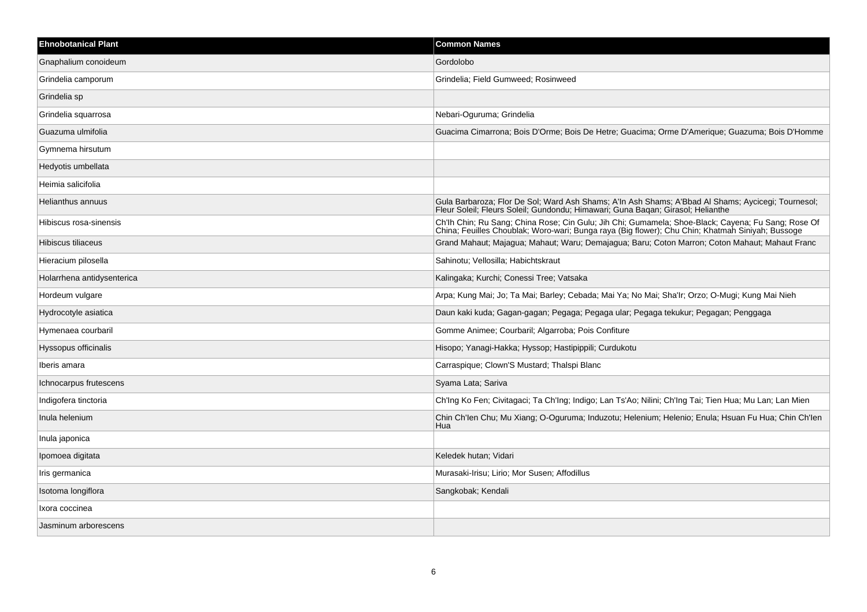| <b>Ehnobotanical Plant</b> | <b>Common Names</b>                                                                                                                                                                                    |
|----------------------------|--------------------------------------------------------------------------------------------------------------------------------------------------------------------------------------------------------|
| Gnaphalium conoideum       | Gordolobo                                                                                                                                                                                              |
| Grindelia camporum         | Grindelia; Field Gumweed; Rosinweed                                                                                                                                                                    |
| Grindelia sp               |                                                                                                                                                                                                        |
| Grindelia squarrosa        | Nebari-Oguruma; Grindelia                                                                                                                                                                              |
| Guazuma ulmifolia          | Guacima Cimarrona; Bois D'Orme; Bois De Hetre; Guacima; Orme D'Amerique; Guazuma; Bois D'Homme                                                                                                         |
| Gymnema hirsutum           |                                                                                                                                                                                                        |
| Hedyotis umbellata         |                                                                                                                                                                                                        |
| Heimia salicifolia         |                                                                                                                                                                                                        |
| Helianthus annuus          | Gula Barbaroza; Flor De Sol; Ward Ash Shams; A'ln Ash Shams; A'Bbad Al Shams; Aycicegi; Tournesol;<br>Fleur Soleil; Fleurs Soleil; Gundondu; Himawari; Guna Baqan; Girasol; Helianthe                  |
| Hibiscus rosa-sinensis     | Ch'lh Chin; Ru Sang; China Rose; Cin Gulu; Jih Chi; Gumamela; Shoe-Black; Cayena; Fu Sang; Rose Of<br>China; Feuilles Choublak; Woro-wari; Bunga raya (Big flower); Chu Chin; Khatmah Siniyah; Bussoge |
| Hibiscus tiliaceus         | Grand Mahaut; Majagua; Mahaut; Waru; Demajagua; Baru; Coton Marron; Coton Mahaut; Mahaut Franc                                                                                                         |
| Hieracium pilosella        | Sahinotu; Vellosilla; Habichtskraut                                                                                                                                                                    |
| Holarrhena antidysenterica | Kalingaka; Kurchi; Conessi Tree; Vatsaka                                                                                                                                                               |
| Hordeum vulgare            | Arpa; Kung Mai; Jo; Ta Mai; Barley; Cebada; Mai Ya; No Mai; Sha'Ir; Orzo; O-Mugi; Kung Mai Nieh                                                                                                        |
| Hydrocotyle asiatica       | Daun kaki kuda; Gagan-gagan; Pegaga; Pegaga ular; Pegaga tekukur; Pegagan; Penggaga                                                                                                                    |
| Hymenaea courbaril         | Gomme Animee; Courbaril; Algarroba; Pois Confiture                                                                                                                                                     |
| Hyssopus officinalis       | Hisopo; Yanagi-Hakka; Hyssop; Hastipippili; Curdukotu                                                                                                                                                  |
| Iberis amara               | Carraspique; Clown'S Mustard; Thalspi Blanc                                                                                                                                                            |
| Ichnocarpus frutescens     | Syama Lata; Sariva                                                                                                                                                                                     |
| Indigofera tinctoria       | Ch'Ing Ko Fen; Civitagaci; Ta Ch'Ing; Indigo; Lan Ts'Ao; Nilini; Ch'Ing Tai; Tien Hua; Mu Lan; Lan Mien                                                                                                |
| Inula helenium             | Chin Ch'len Chu; Mu Xiang; O-Oguruma; Induzotu; Helenium; Helenio; Enula; Hsuan Fu Hua; Chin Ch'len<br>Hua                                                                                             |
| Inula japonica             |                                                                                                                                                                                                        |
| Ipomoea digitata           | Keledek hutan; Vidari                                                                                                                                                                                  |
| Iris germanica             | Murasaki-Irisu; Lirio; Mor Susen; Affodillus                                                                                                                                                           |
| Isotoma longiflora         | Sangkobak; Kendali                                                                                                                                                                                     |
| Ixora coccinea             |                                                                                                                                                                                                        |
| Jasminum arborescens       |                                                                                                                                                                                                        |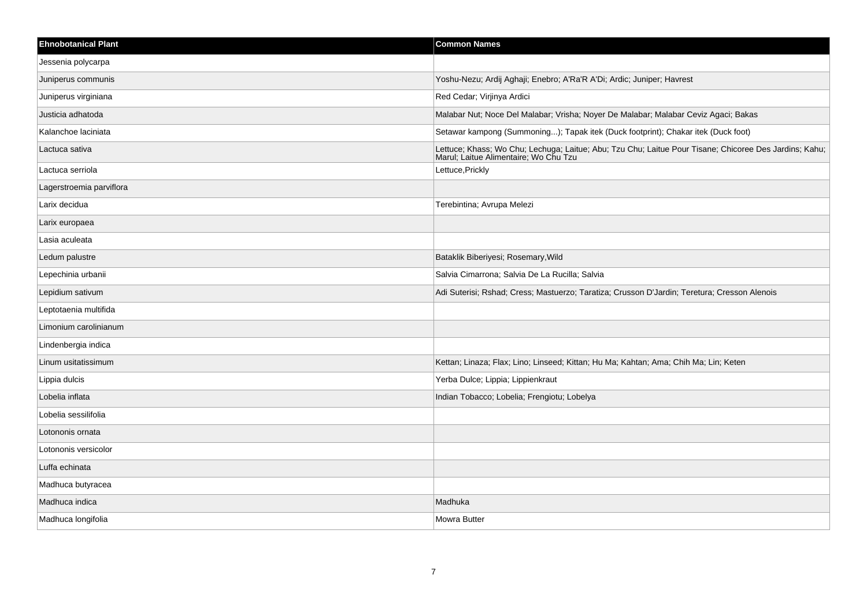| <b>Ehnobotanical Plant</b> | <b>Common Names</b>                                                                                                                             |
|----------------------------|-------------------------------------------------------------------------------------------------------------------------------------------------|
| Jessenia polycarpa         |                                                                                                                                                 |
| Juniperus communis         | Yoshu-Nezu; Ardij Aghaji; Enebro; A'Ra'R A'Di; Ardic; Juniper; Havrest                                                                          |
| Juniperus virginiana       | Red Cedar; Virjinya Ardici                                                                                                                      |
| Justicia adhatoda          | Malabar Nut; Noce Del Malabar; Vrisha; Noyer De Malabar; Malabar Ceviz Agaci; Bakas                                                             |
| Kalanchoe laciniata        | Setawar kampong (Summoning); Tapak itek (Duck footprint); Chakar itek (Duck foot)                                                               |
| Lactuca sativa             | Lettuce; Khass; Wo Chu; Lechuga; Laitue; Abu; Tzu Chu; Laitue Pour Tisane; Chicoree Des Jardins; Kahu;<br>Marul; Laitue Alimentaire; Wo Chu Tzu |
| Lactuca serriola           | Lettuce, Prickly                                                                                                                                |
| Lagerstroemia parviflora   |                                                                                                                                                 |
| Larix decidua              | Terebintina; Avrupa Melezi                                                                                                                      |
| Larix europaea             |                                                                                                                                                 |
| Lasia aculeata             |                                                                                                                                                 |
| Ledum palustre             | Bataklik Biberiyesi; Rosemary, Wild                                                                                                             |
| Lepechinia urbanii         | Salvia Cimarrona; Salvia De La Rucilla; Salvia                                                                                                  |
| Lepidium sativum           | Adi Suterisi; Rshad; Cress; Mastuerzo; Taratiza; Crusson D'Jardin; Teretura; Cresson Alenois                                                    |
| Leptotaenia multifida      |                                                                                                                                                 |
| Limonium carolinianum      |                                                                                                                                                 |
| Lindenbergia indica        |                                                                                                                                                 |
| Linum usitatissimum        | Kettan; Linaza; Flax; Lino; Linseed; Kittan; Hu Ma; Kahtan; Ama; Chih Ma; Lin; Keten                                                            |
| Lippia dulcis              | Yerba Dulce; Lippia; Lippienkraut                                                                                                               |
| Lobelia inflata            | Indian Tobacco; Lobelia; Frengiotu; Lobelya                                                                                                     |
| Lobelia sessilifolia       |                                                                                                                                                 |
| Lotononis ornata           |                                                                                                                                                 |
| Lotononis versicolor       |                                                                                                                                                 |
| Luffa echinata             |                                                                                                                                                 |
| Madhuca butyracea          |                                                                                                                                                 |
| Madhuca indica             | Madhuka                                                                                                                                         |
| Madhuca longifolia         | <b>Mowra Butter</b>                                                                                                                             |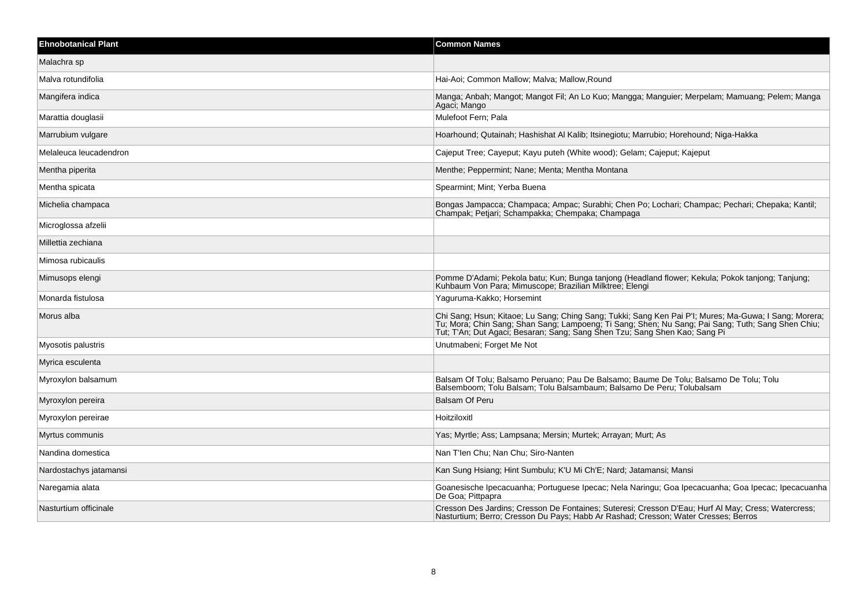| <b>Ehnobotanical Plant</b> | <b>Common Names</b>                                                                                                                                                                                                                                                                      |
|----------------------------|------------------------------------------------------------------------------------------------------------------------------------------------------------------------------------------------------------------------------------------------------------------------------------------|
| Malachra sp                |                                                                                                                                                                                                                                                                                          |
| Malva rotundifolia         | Hai-Aoi: Common Mallow: Malva: Mallow.Round                                                                                                                                                                                                                                              |
| Mangifera indica           | Manga; Anbah; Mangot; Mangot Fil; An Lo Kuo; Mangga; Manguier; Merpelam; Mamuang; Pelem; Manga<br>Agaci; Mango                                                                                                                                                                           |
| Marattia douglasii         | Mulefoot Fern; Pala                                                                                                                                                                                                                                                                      |
| Marrubium vulgare          | Hoarhound: Qutainah: Hashishat Al Kalib: Itsinegiotu: Marrubio: Horehound: Niga-Hakka                                                                                                                                                                                                    |
| Melaleuca leucadendron     | Cajeput Tree; Cayeput; Kayu puteh (White wood); Gelam; Cajeput; Kajeput                                                                                                                                                                                                                  |
| Mentha piperita            | Menthe; Peppermint; Nane; Menta; Mentha Montana                                                                                                                                                                                                                                          |
| Mentha spicata             | Spearmint; Mint; Yerba Buena                                                                                                                                                                                                                                                             |
| Michelia champaca          | Bongas Jampacca; Champaca; Ampac; Surabhi; Chen Po; Lochari; Champac; Pechari; Chepaka; Kantil;<br>Champak; Petjari; Schampakka; Chempaka; Champaga                                                                                                                                      |
| Microglossa afzelii        |                                                                                                                                                                                                                                                                                          |
| Millettia zechiana         |                                                                                                                                                                                                                                                                                          |
| Mimosa rubicaulis          |                                                                                                                                                                                                                                                                                          |
| Mimusops elengi            | Pomme D'Adami; Pekola batu; Kun; Bunga tanjong (Headland flower; Kekula; Pokok tanjong; Tanjung;<br>Kuhbaum Von Para; Mimuscope; Brazilian Milktree; Elengi                                                                                                                              |
| Monarda fistulosa          | Yaguruma-Kakko; Horsemint                                                                                                                                                                                                                                                                |
| Morus alba                 | Chi Sang; Hsun; Kitaoe; Lu Sang; Ching Sang; Tukki; Sang Ken Pai P'I; Mures; Ma-Guwa; I Sang; Morera;<br>Tu; Mora; Chin Sang; Shan Sang; Lampoeng; Ti Sang; Shen; Nu Sang; Pai Sang; Tuth; Sang Shen Chiu;<br>Tut; T'An; Dut Agaci; Besaran; Sang; Sang Shen Tzu; Sang Shen Kao; Sang Pi |
| Myosotis palustris         | Unutmabeni; Forget Me Not                                                                                                                                                                                                                                                                |
| Myrica esculenta           |                                                                                                                                                                                                                                                                                          |
| Myroxylon balsamum         | Balsam Of Tolu; Balsamo Peruano; Pau De Balsamo; Baume De Tolu; Balsamo De Tolu; Tolu<br>Balsemboom, Tolu Balsam, Tolu Balsambaum, Balsamo De Peru, Tolubalsam                                                                                                                           |
| Myroxylon pereira          | <b>Balsam Of Peru</b>                                                                                                                                                                                                                                                                    |
| Myroxylon pereirae         | Hoitziloxitl                                                                                                                                                                                                                                                                             |
| Myrtus communis            | Yas; Myrtle; Ass; Lampsana; Mersin; Murtek; Arrayan; Murt; As                                                                                                                                                                                                                            |
| Nandina domestica          | Nan T'len Chu; Nan Chu; Siro-Nanten                                                                                                                                                                                                                                                      |
| Nardostachys jatamansi     | Kan Sung Hsiang; Hint Sumbulu; K'U Mi Ch'E; Nard; Jatamansi; Mansi                                                                                                                                                                                                                       |
| Naregamia alata            | Goanesische Ipecacuanha; Portuguese Ipecac; Nela Naringu; Goa Ipecacuanha; Goa Ipecac; Ipecacuanha<br>De Goa; Pittpapra                                                                                                                                                                  |
| Nasturtium officinale      | Cresson Des Jardins; Cresson De Fontaines; Suteresi; Cresson D'Eau; Hurf Al May; Cress; Watercress; Nasturtium; Berro; Cresson Du Pays; Habb Ar Rashad; Cresson; Water Cresses; Berros                                                                                                   |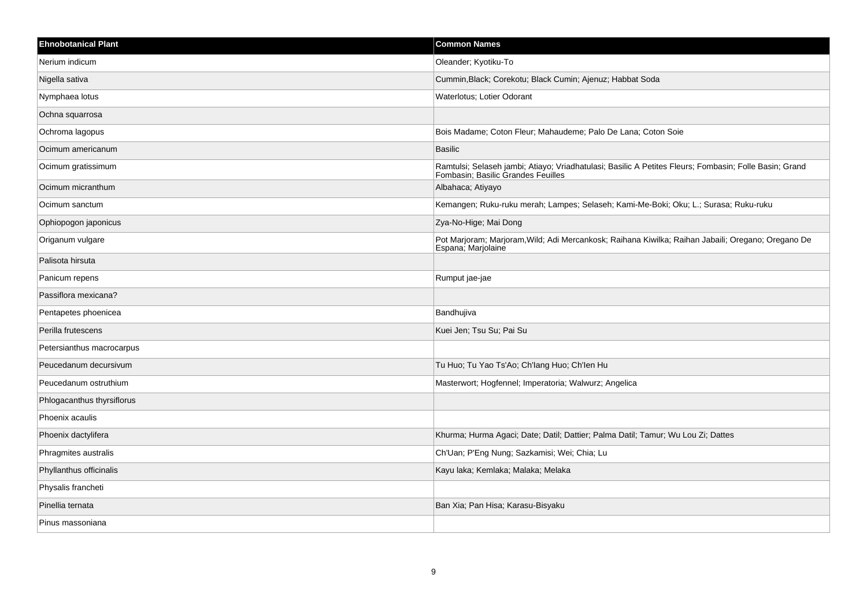| <b>Ehnobotanical Plant</b> | <b>Common Names</b>                                                                                                                          |
|----------------------------|----------------------------------------------------------------------------------------------------------------------------------------------|
| Nerium indicum             | Oleander; Kyotiku-To                                                                                                                         |
| Nigella sativa             | Cummin, Black; Corekotu; Black Cumin; Ajenuz; Habbat Soda                                                                                    |
| Nymphaea lotus             | Waterlotus; Lotier Odorant                                                                                                                   |
| Ochna squarrosa            |                                                                                                                                              |
| Ochroma lagopus            | Bois Madame; Coton Fleur; Mahaudeme; Palo De Lana; Coton Soie                                                                                |
| Ocimum americanum          | <b>Basilic</b>                                                                                                                               |
| Ocimum gratissimum         | Ramtulsi; Selaseh jambi; Atiayo; Vriadhatulasi; Basilic A Petites Fleurs; Fombasin; Folle Basin; Grand<br>Fombasin; Basilic Grandes Feuilles |
| Ocimum micranthum          | Albahaca; Atiyayo                                                                                                                            |
| Ocimum sanctum             | Kemangen; Ruku-ruku merah; Lampes; Selaseh; Kami-Me-Boki; Oku; L.; Surasa; Ruku-ruku                                                         |
| Ophiopogon japonicus       | Zya-No-Hige; Mai Dong                                                                                                                        |
| Origanum vulgare           | Pot Marjoram; Marjoram, Wild; Adi Mercankosk; Raihana Kiwilka; Raihan Jabaili; Oregano; Oregano De<br>Espana; Marjolaine                     |
| Palisota hirsuta           |                                                                                                                                              |
| Panicum repens             | Rumput jae-jae                                                                                                                               |
| Passiflora mexicana?       |                                                                                                                                              |
| Pentapetes phoenicea       | Bandhujiva                                                                                                                                   |
| Perilla frutescens         | Kuei Jen; Tsu Su; Pai Su                                                                                                                     |
| Petersianthus macrocarpus  |                                                                                                                                              |
| Peucedanum decursivum      | Tu Huo; Tu Yao Ts'Ao; Ch'lang Huo; Ch'len Hu                                                                                                 |
| Peucedanum ostruthium      | Masterwort; Hogfennel; Imperatoria; Walwurz; Angelica                                                                                        |
| Phlogacanthus thyrsiflorus |                                                                                                                                              |
| Phoenix acaulis            |                                                                                                                                              |
| Phoenix dactylifera        | Khurma; Hurma Agaci; Date; Datil; Dattier; Palma Datil; Tamur; Wu Lou Zi; Dattes                                                             |
| Phragmites australis       | Ch'Uan; P'Eng Nung; Sazkamisi; Wei; Chia; Lu                                                                                                 |
| Phyllanthus officinalis    | Kayu laka; Kemlaka; Malaka; Melaka                                                                                                           |
| Physalis francheti         |                                                                                                                                              |
| Pinellia ternata           | Ban Xia; Pan Hisa; Karasu-Bisyaku                                                                                                            |
| Pinus massoniana           |                                                                                                                                              |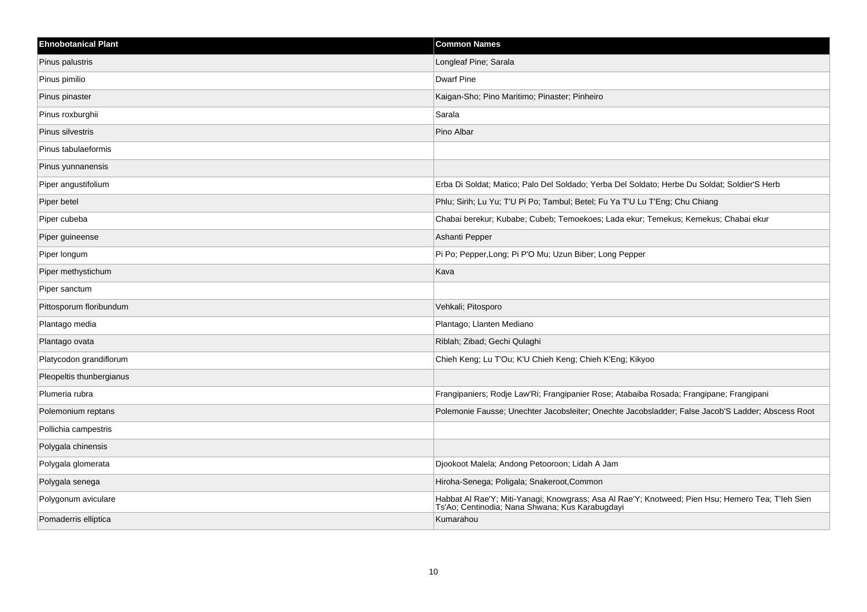| <b>Ehnobotanical Plant</b> | <b>Common Names</b>                                                                                                                                  |
|----------------------------|------------------------------------------------------------------------------------------------------------------------------------------------------|
| Pinus palustris            | Longleaf Pine; Sarala                                                                                                                                |
| Pinus pimilio              | <b>Dwarf Pine</b>                                                                                                                                    |
| Pinus pinaster             | Kaigan-Sho; Pino Maritimo; Pinaster; Pinheiro                                                                                                        |
| Pinus roxburghii           | Sarala                                                                                                                                               |
| Pinus silvestris           | Pino Albar                                                                                                                                           |
| Pinus tabulaeformis        |                                                                                                                                                      |
| Pinus yunnanensis          |                                                                                                                                                      |
| Piper angustifolium        | Erba Di Soldat; Matico; Palo Del Soldado; Yerba Del Soldato; Herbe Du Soldat; Soldier'S Herb                                                         |
| Piper betel                | Phlu; Sirih; Lu Yu; T'U Pi Po; Tambul; Betel; Fu Ya T'U Lu T'Eng; Chu Chiang                                                                         |
| Piper cubeba               | Chabai berekur; Kubabe; Cubeb; Temoekoes; Lada ekur; Temekus; Kemekus; Chabai ekur                                                                   |
| Piper guineense            | Ashanti Pepper                                                                                                                                       |
| Piper longum               | Pi Po; Pepper, Long; Pi P'O Mu; Uzun Biber; Long Pepper                                                                                              |
| Piper methystichum         | Kava                                                                                                                                                 |
| Piper sanctum              |                                                                                                                                                      |
| Pittosporum floribundum    | Vehkali; Pitosporo                                                                                                                                   |
| Plantago media             | Plantago; Llanten Mediano                                                                                                                            |
| Plantago ovata             | Riblah; Zibad; Gechi Qulaghi                                                                                                                         |
| Platycodon grandiflorum    | Chieh Keng; Lu T'Ou; K'U Chieh Keng; Chieh K'Eng; Kikyoo                                                                                             |
| Pleopeltis thunbergianus   |                                                                                                                                                      |
| Plumeria rubra             | Frangipaniers; Rodje Law'Ri; Frangipanier Rose; Atabaiba Rosada; Frangipane; Frangipani                                                              |
| Polemonium reptans         | Polemonie Fausse; Unechter Jacobsleiter; Onechte Jacobsladder; False Jacob'S Ladder; Abscess Root                                                    |
| Pollichia campestris       |                                                                                                                                                      |
| Polygala chinensis         |                                                                                                                                                      |
| Polygala glomerata         | Djookoot Malela; Andong Petooroon; Lidah A Jam                                                                                                       |
| Polygala senega            | Hiroha-Senega; Poligala; Snakeroot, Common                                                                                                           |
| Polygonum aviculare        | Habbat Al Rae'Y; Miti-Yanagi; Knowgrass; Asa Al Rae'Y; Knotweed; Pien Hsu; Hemero Tea; T'leh Sien<br>Ts'Ao; Centinodia; Nana Shwana; Kus Karabugdayi |
| Pomaderris elliptica       | Kumarahou                                                                                                                                            |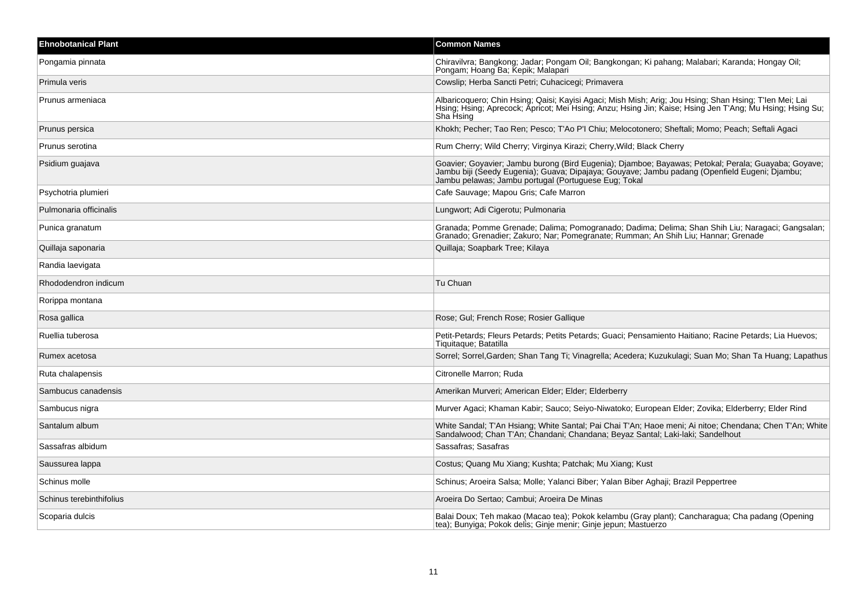| <b>Ehnobotanical Plant</b> | <b>Common Names</b>                                                                                                                                                                                                                                          |
|----------------------------|--------------------------------------------------------------------------------------------------------------------------------------------------------------------------------------------------------------------------------------------------------------|
| Pongamia pinnata           | Chiravilvra; Bangkong; Jadar; Pongam Oil; Bangkongan; Ki pahang; Malabari; Karanda; Hongay Oil;<br>Pongam; Hoang Ba; Kepik; Malapari                                                                                                                         |
| Primula veris              | Cowslip; Herba Sancti Petri; Cuhacicegi; Primavera                                                                                                                                                                                                           |
| Prunus armeniaca           | Albaricoquero; Chin Hsing; Qaisi; Kayisi Agaci; Mish Mish; Arig; Jou Hsing; Shan Hsing; T'len Mei; Lai<br>Hsing; Hsing; Aprecock; Apricot; Mei Hsing; Anzu; Hsing Jin; Kaise; Hsing Jen T'Ang; Mu Hsing; Hsing Su;<br>Sha Hsing                              |
| Prunus persica             | Khokh; Pecher; Tao Ren; Pesco; T'Ao P'I Chiu; Melocotonero; Sheftali; Momo; Peach; Seftali Agaci                                                                                                                                                             |
| Prunus serotina            | Rum Cherry; Wild Cherry; Virginya Kirazi; Cherry, Wild; Black Cherry                                                                                                                                                                                         |
| Psidium guajava            | Goavier; Goyavier; Jambu burong (Bird Eugenia); Djamboe; Bayawas; Petokal; Perala; Guayaba; Goyave;<br>Jambu biji (Seedy Eugenia); Guava; Dipajaya; Gouyave; Jambu padang (Openfield Eugeni; Djambu;<br>Jambu pelawas; Jambu portugal (Portuguese Eug; Tokal |
| Psychotria plumieri        | Cafe Sauvage; Mapou Gris; Cafe Marron                                                                                                                                                                                                                        |
| Pulmonaria officinalis     | Lungwort; Adi Cigerotu; Pulmonaria                                                                                                                                                                                                                           |
| Punica granatum            | Granada; Pomme Grenade; Dalima; Pomogranado; Dadima; Delima; Shan Shih Liu; Naragaci; Gangsalan;<br>Granado; Grenadier; Zakuro; Nar; Pomegranate; Rumman; An Shih Liu; Hannar; Grenade                                                                       |
| Quillaja saponaria         | Quillaja; Soapbark Tree; Kilaya                                                                                                                                                                                                                              |
| Randia laevigata           |                                                                                                                                                                                                                                                              |
| Rhododendron indicum       | Tu Chuan                                                                                                                                                                                                                                                     |
| Rorippa montana            |                                                                                                                                                                                                                                                              |
| Rosa gallica               | Rose; Gul; French Rose; Rosier Gallique                                                                                                                                                                                                                      |
| Ruellia tuberosa           | Petit-Petards; Fleurs Petards; Petits Petards; Guaci; Pensamiento Haitiano; Racine Petards; Lia Huevos;<br>Tiquitaque; Batatilla                                                                                                                             |
| Rumex acetosa              | Sorrel; Sorrel, Garden; Shan Tang Ti; Vinagrella; Acedera; Kuzukulagi; Suan Mo; Shan Ta Huang; Lapathus                                                                                                                                                      |
| Ruta chalapensis           | Citronelle Marron; Ruda                                                                                                                                                                                                                                      |
| Sambucus canadensis        | Amerikan Murveri; American Elder; Elder; Elderberry                                                                                                                                                                                                          |
| Sambucus nigra             | Murver Agaci; Khaman Kabir; Sauco; Seiyo-Niwatoko; European Elder; Zovika; Elderberry; Elder Rind                                                                                                                                                            |
| Santalum album             | White Sandal; T'An Hsiang; White Santal; Pai Chai T'An; Haoe meni; Ai nitoe; Chendana; Chen T'An; White<br>Sandalwood; Chan T'An; Chandani; Chandana; Beyaz Santal; Laki-laki; Sandelhout                                                                    |
| Sassafras albidum          | Sassafras; Sasafras                                                                                                                                                                                                                                          |
| Saussurea lappa            | Costus; Quang Mu Xiang; Kushta; Patchak; Mu Xiang; Kust                                                                                                                                                                                                      |
| Schinus molle              | Schinus; Aroeira Salsa; Molle; Yalanci Biber; Yalan Biber Aghaji; Brazil Peppertree                                                                                                                                                                          |
| Schinus terebinthifolius   | Aroeira Do Sertao; Cambui; Aroeira De Minas                                                                                                                                                                                                                  |
| Scoparia dulcis            | Balai Doux; Teh makao (Macao tea); Pokok kelambu (Gray plant); Cancharagua; Cha padang (Opening<br>tea); Bunyiga; Pokok delis; Ginje menir; Ginje jepun; Mastuerzo                                                                                           |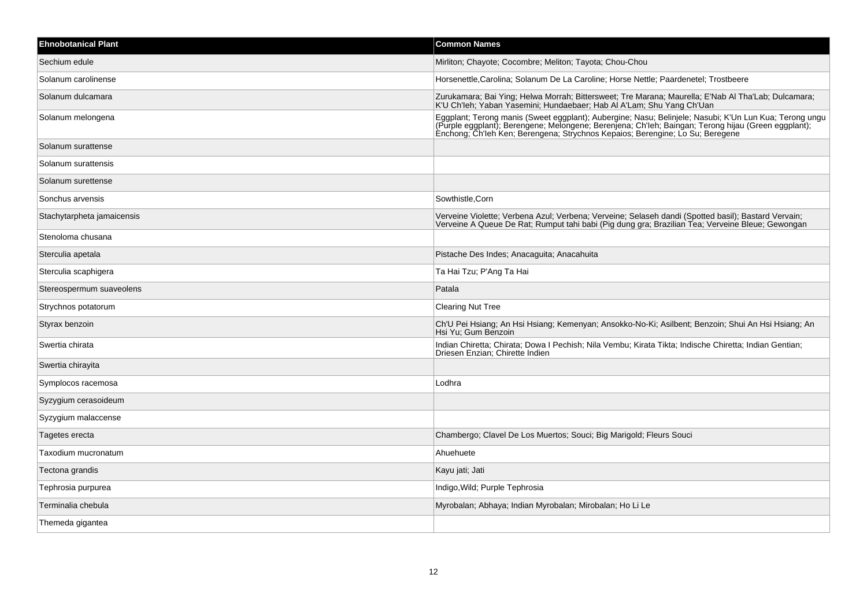| <b>Ehnobotanical Plant</b> | <b>Common Names</b>                                                                                                                                                                                                                                                                            |
|----------------------------|------------------------------------------------------------------------------------------------------------------------------------------------------------------------------------------------------------------------------------------------------------------------------------------------|
| Sechium edule              | Mirliton; Chayote; Cocombre; Meliton; Tayota; Chou-Chou                                                                                                                                                                                                                                        |
| Solanum carolinense        | Horsenettle, Carolina; Solanum De La Caroline; Horse Nettle; Paardenetel; Trostbeere                                                                                                                                                                                                           |
| Solanum dulcamara          | Zurukamara; Bai Ying; Helwa Morrah; Bittersweet; Tre Marana; Maurella; E'Nab Al Tha'Lab; Dulcamara;<br>K'U Ch'leh; Yaban Yasemini; Hundaebaer; Hab Al A'Lam; Shu Yang Ch'Uan                                                                                                                   |
| Solanum melongena          | Eggplant; Terong manis (Sweet eggplant); Aubergine; Nasu; Belinjele; Nasubi; K'Un Lun Kua; Terong ungu<br>(Purple eggplant); Berengene; Melongene; Berenjena; Ch'leh; Baingan; Terong hijau (Green eggplant);<br>Enchong; Ch'leh Ken; Berengena; Strychnos Kepaios; Berengine; Lo Su; Beregene |
| Solanum surattense         |                                                                                                                                                                                                                                                                                                |
| Solanum surattensis        |                                                                                                                                                                                                                                                                                                |
| Solanum surettense         |                                                                                                                                                                                                                                                                                                |
| Sonchus arvensis           | Sowthistle, Corn                                                                                                                                                                                                                                                                               |
| Stachytarpheta jamaicensis | Verveine Violette; Verbena Azul; Verbena; Verveine; Selaseh dandi (Spotted basil); Bastard Vervain; Verveine A Queue De Rat; Rumput tahi babi (Pig dung gra; Brazilian Tea; Verveine Bleue; Gewongan                                                                                           |
| Stenoloma chusana          |                                                                                                                                                                                                                                                                                                |
| Sterculia apetala          | Pistache Des Indes; Anacaguita; Anacahuita                                                                                                                                                                                                                                                     |
| Sterculia scaphigera       | Ta Hai Tzu; P'Ang Ta Hai                                                                                                                                                                                                                                                                       |
| Stereospermum suaveolens   | Patala                                                                                                                                                                                                                                                                                         |
| Strychnos potatorum        | <b>Clearing Nut Tree</b>                                                                                                                                                                                                                                                                       |
| Styrax benzoin             | Ch'U Pei Hsiang; An Hsi Hsiang; Kemenyan; Ansokko-No-Ki; Asilbent; Benzoin; Shui An Hsi Hsiang; An<br>Hsi Yu: Gum Benzoin                                                                                                                                                                      |
| Swertia chirata            | Indian Chiretta; Chirata; Dowa I Pechish; Nila Vembu; Kirata Tikta; Indische Chiretta; Indian Gentian;<br>Driesen Enzian; Chirette Indien                                                                                                                                                      |
| Swertia chirayita          |                                                                                                                                                                                                                                                                                                |
| Symplocos racemosa         | Lodhra                                                                                                                                                                                                                                                                                         |
| Syzygium cerasoideum       |                                                                                                                                                                                                                                                                                                |
| Syzygium malaccense        |                                                                                                                                                                                                                                                                                                |
| Tagetes erecta             | Chambergo; Clavel De Los Muertos; Souci; Big Marigold; Fleurs Souci                                                                                                                                                                                                                            |
| Taxodium mucronatum        | Ahuehuete                                                                                                                                                                                                                                                                                      |
| Tectona grandis            | Kayu jati; Jati                                                                                                                                                                                                                                                                                |
| Tephrosia purpurea         | Indigo, Wild; Purple Tephrosia                                                                                                                                                                                                                                                                 |
| Terminalia chebula         | Myrobalan; Abhaya; Indian Myrobalan; Mirobalan; Ho Li Le                                                                                                                                                                                                                                       |
| Themeda gigantea           |                                                                                                                                                                                                                                                                                                |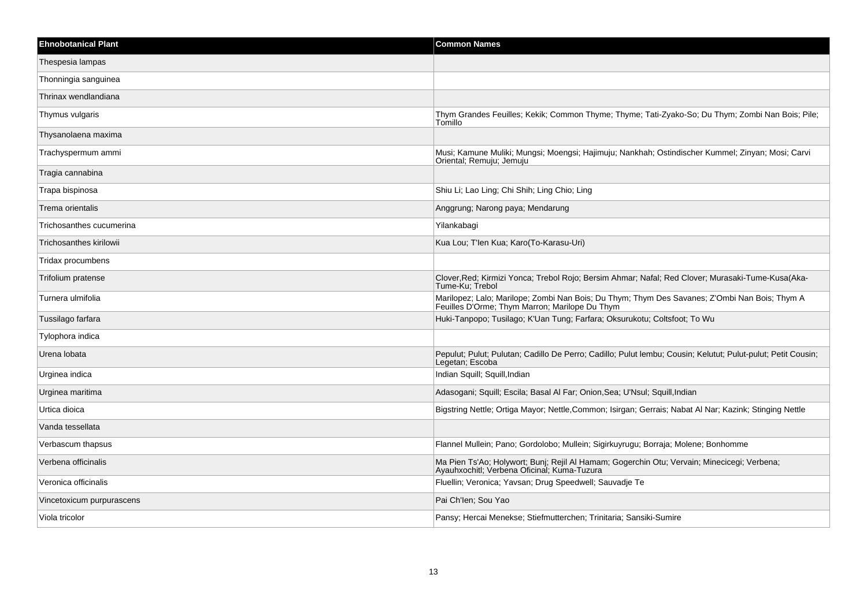| <b>Ehnobotanical Plant</b> | <b>Common Names</b>                                                                                                                             |
|----------------------------|-------------------------------------------------------------------------------------------------------------------------------------------------|
| Thespesia lampas           |                                                                                                                                                 |
| Thonningia sanguinea       |                                                                                                                                                 |
| Thrinax wendlandiana       |                                                                                                                                                 |
| Thymus vulgaris            | Thym Grandes Feuilles; Kekik; Common Thyme; Thyme; Tati-Zyako-So; Du Thym; Zombi Nan Bois; Pile;<br>Tomillo                                     |
| Thysanolaena maxima        |                                                                                                                                                 |
| Trachyspermum ammi         | Musi; Kamune Muliki; Mungsi; Moengsi; Hajimuju; Nankhah; Ostindischer Kummel; Zinyan; Mosi; Carvi<br>Oriental; Remuju; Jemuju                   |
| Tragia cannabina           |                                                                                                                                                 |
| Trapa bispinosa            | Shiu Li; Lao Ling; Chi Shih; Ling Chio; Ling                                                                                                    |
| Trema orientalis           | Anggrung; Narong paya; Mendarung                                                                                                                |
| Trichosanthes cucumerina   | Yilankabagi                                                                                                                                     |
| Trichosanthes kirilowii    | Kua Lou; T'len Kua; Karo(To-Karasu-Uri)                                                                                                         |
| Tridax procumbens          |                                                                                                                                                 |
| Trifolium pratense         | Clover, Red; Kirmizi Yonca; Trebol Rojo; Bersim Ahmar; Nafal; Red Clover; Murasaki-Tume-Kusa(Aka-<br>Tume-Ku; Trebol                            |
| Turnera ulmifolia          | Marilopez; Lalo; Marilope; Zombi Nan Bois; Du Thym; Thym Des Savanes; Z'Ombi Nan Bois; Thym A<br>Feuilles D'Orme; Thym Marron; Marilope Du Thym |
| Tussilago farfara          | Huki-Tanpopo; Tusilago; K'Uan Tung; Farfara; Oksurukotu; Coltsfoot; To Wu                                                                       |
| Tylophora indica           |                                                                                                                                                 |
| Urena lobata               | Pepulut; Pulut; Pulutan; Cadillo De Perro; Cadillo; Pulut lembu; Cousin; Kelutut; Pulut-pulut; Petit Cousin;<br>Legetan; Escoba                 |
| Urginea indica             | Indian Squill; Squill, Indian                                                                                                                   |
| Urginea maritima           | Adasogani; Squill; Escila; Basal Al Far; Onion, Sea; U'Nsul; Squill, Indian                                                                     |
| Urtica dioica              | Bigstring Nettle; Ortiga Mayor; Nettle, Common; Isirgan; Gerrais; Nabat Al Nar; Kazink; Stinging Nettle                                         |
| Vanda tessellata           |                                                                                                                                                 |
| Verbascum thapsus          | Flannel Mullein; Pano; Gordolobo; Mullein; Sigirkuyrugu; Borraja; Molene; Bonhomme                                                              |
| Verbena officinalis        | Ma Pien Ts'Ao; Holywort; Bunj; Rejil Al Hamam; Gogerchin Otu; Vervain; Minecicegi; Verbena;<br>Ayauhxochitl; Verbena Oficinal; Kuma-Tuzura      |
| Veronica officinalis       | Fluellin; Veronica; Yavsan; Drug Speedwell; Sauvadje Te                                                                                         |
| Vincetoxicum purpurascens  | Pai Ch'len; Sou Yao                                                                                                                             |
| Viola tricolor             | Pansy; Hercai Menekse; Stiefmutterchen; Trinitaria; Sansiki-Sumire                                                                              |